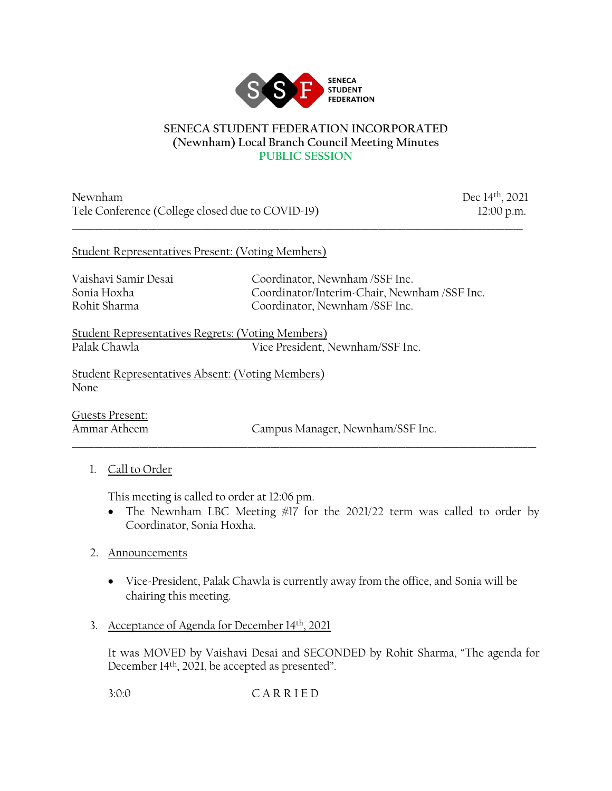

#### **SENECA STUDENT FEDERATION INCORPORATED (Newnham) Local Branch Council Meeting Minutes PUBLIC SESSION**

\_\_\_\_\_\_\_\_\_\_\_\_\_\_\_\_\_\_\_\_\_\_\_\_\_\_\_\_\_\_\_\_\_\_\_\_\_\_\_\_\_\_\_\_\_\_\_\_\_\_\_\_\_\_\_\_\_\_\_\_\_\_\_\_\_\_\_\_\_\_\_\_\_\_\_\_\_\_\_\_\_\_\_\_\_\_\_\_\_\_\_\_\_\_\_\_\_\_\_\_

Newnham Dec 14th, 2021 Tele Conference (College closed due to COVID-19) 12:00 p.m.

### Student Representatives Present: (Voting Members)

Vaishavi Samir Desai Coordinator, Newnham /SSF Inc. Sonia Hoxha Coordinator/Interim-Chair, Newnham /SSF Inc. Rohit Sharma Coordinator, Newnham /SSF Inc.

Student Representatives Regrets: (Voting Members) Vice President, Newnham/SSF Inc.

Student Representatives Absent: (Voting Members) None

Guests Present:

Ammar Atheem Campus Manager, Newnham/SSF Inc.

# 1. Call to Order

This meeting is called to order at 12:06 pm.

• The Newnham LBC Meeting #17 for the 2021/22 term was called to order by Coordinator, Sonia Hoxha.

\_\_\_\_\_\_\_\_\_\_\_\_\_\_\_\_\_\_\_\_\_\_\_\_\_\_\_\_\_\_\_\_\_\_\_\_\_\_\_\_\_\_\_\_\_\_\_\_\_\_\_\_\_\_\_\_\_\_\_\_\_\_\_\_\_\_\_\_\_\_\_\_\_\_\_\_\_\_\_\_\_\_\_\_\_\_\_\_\_\_\_\_\_\_\_\_\_\_\_\_\_\_\_

- 2. Announcements
	- Vice-President, Palak Chawla is currently away from the office, and Sonia will be chairing this meeting.
- 3. Acceptance of Agenda for December 14<sup>th</sup>, 2021

It was MOVED by Vaishavi Desai and SECONDED by Rohit Sharma, "The agenda for December 14<sup>th</sup>, 2021, be accepted as presented".

3:0:0 C A R R I E D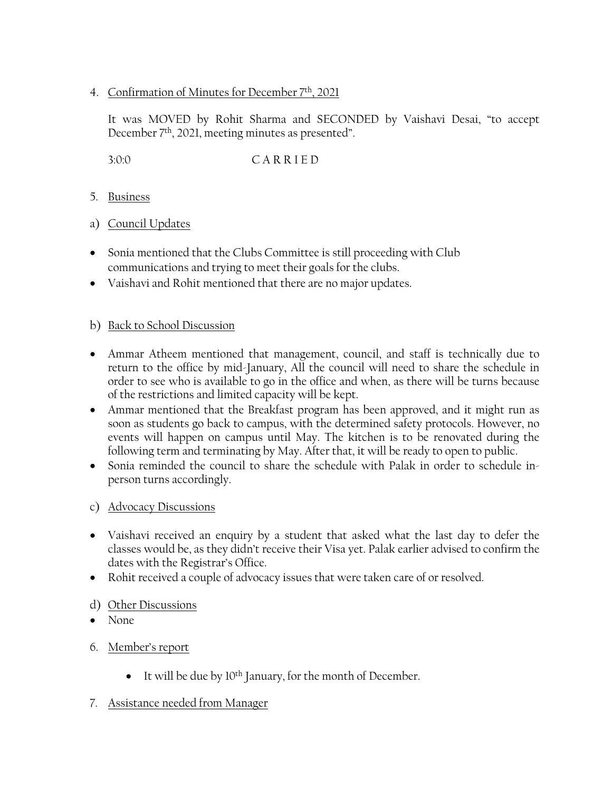## 4. Confirmation of Minutes for December 7th, 2021

It was MOVED by Rohit Sharma and SECONDED by Vaishavi Desai, "to accept December 7th, 2021, meeting minutes as presented".

3:0:0 C A R R I E D

- 5. Business
- a) Council Updates
- Sonia mentioned that the Clubs Committee is still proceeding with Club communications and trying to meet their goals for the clubs.
- Vaishavi and Rohit mentioned that there are no major updates.

### b) Back to School Discussion

- Ammar Atheem mentioned that management, council, and staff is technically due to return to the office by mid-January, All the council will need to share the schedule in order to see who is available to go in the office and when, as there will be turns because of the restrictions and limited capacity will be kept.
- Ammar mentioned that the Breakfast program has been approved, and it might run as soon as students go back to campus, with the determined safety protocols. However, no events will happen on campus until May. The kitchen is to be renovated during the following term and terminating by May. After that, it will be ready to open to public.
- Sonia reminded the council to share the schedule with Palak in order to schedule inperson turns accordingly.

### c) Advocacy Discussions

- Vaishavi received an enquiry by a student that asked what the last day to defer the classes would be, as they didn't receive their Visa yet. Palak earlier advised to confirm the dates with the Registrar's Office.
- Rohit received a couple of advocacy issues that were taken care of or resolved.

# d) Other Discussions

- None
- 6. Member's report
	- It will be due by  $10^{th}$  January, for the month of December.

### 7. Assistance needed from Manager